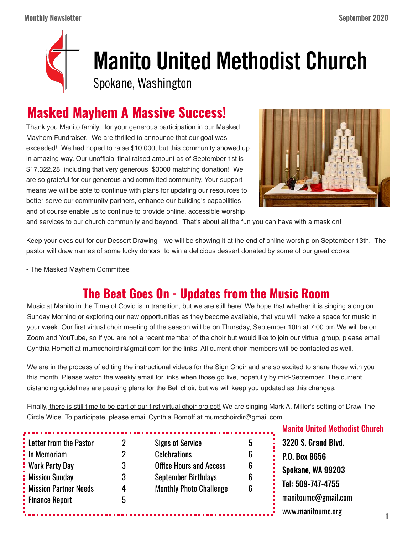

# **Manito United Methodist Church**

Spokane, Washington

# **Masked Mayhem A Massive Success!**

Thank you Manito family, for your generous participation in our Masked Mayhem Fundraiser. We are thrilled to announce that our goal was exceeded! We had hoped to raise \$10,000, but this community showed up in amazing way. Our unofficial final raised amount as of September 1st is \$17,322.28, including that very generous \$3000 matching donation! We are so grateful for our generous and committed community. Your support means we will be able to continue with plans for updating our resources to better serve our community partners, enhance our building's capabilities and of course enable us to continue to provide online, accessible worship



and services to our church community and beyond. That's about all the fun you can have with a mask on!

Keep your eyes out for our Dessert Drawing—we will be showing it at the end of online worship on September 13th. The pastor will draw names of some lucky donors to win a delicious dessert donated by some of our great cooks.

- The Masked Mayhem Committee

## **The Beat Goes On - Updates from the Music Room**

Music at Manito in the Time of Covid is in transition, but we are still here! We hope that whether it is singing along on Sunday Morning or exploring our new opportunities as they become available, that you will make a space for music in your week. Our first virtual choir meeting of the season will be on Thursday, September 10th at 7:00 pm.We will be on Zoom and YouTube, so If you are not a recent member of the choir but would like to join our virtual group, please email Cynthia Romoff at [mumcchoirdir@gmail.com](mailto:mumcchoirdir@gmail.com) for the links. All current choir members will be contacted as well.

We are in the process of editing the instructional videos for the Sign Choir and are so excited to share those with you this month. Please watch the weekly email for links when those go live, hopefully by mid-September. The current distancing guidelines are pausing plans for the Bell choir, but we will keep you updated as this changes.

Finally, there is still time to be part of our first virtual choir project! We are singing Mark A. Miller's setting of Draw The Circle Wide. To participate, please email Cynthia Romoff at [mumcchoirdir@gmail.com.](mailto:mumcchoirdir@gmail.com)

| Letter from the Pastor     | 2 |
|----------------------------|---|
| $\blacksquare$ In Memoriam | 2 |
| : Work Party Day           | 3 |
| : Mission Sunday           | 3 |
| : Mission Partner Needs    | 4 |
| <b>Finance Report</b>      | 5 |
|                            |   |

| <b>Signs of Service</b>        | 5 |
|--------------------------------|---|
| <b>Celebrations</b>            | 6 |
| <b>Office Hours and Access</b> | 6 |
| <b>September Birthdays</b>     | 6 |
| <b>Monthly Photo Challenge</b> | հ |
|                                |   |
|                                |   |

#### Manito United Methodist Church

| 3220 S. Grand Blvd.  |  |
|----------------------|--|
| <b>P.O. Box 8656</b> |  |
| Spokane, WA 99203    |  |
| Tel: 509-747-4755    |  |
| manitoumc@gmail.com  |  |
| www.manitoumc.org    |  |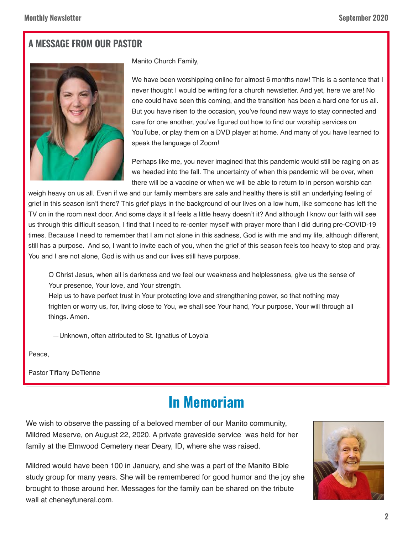#### **A MESSAGE FROM OUR PASTOR**



Manito Church Family,

We have been worshipping online for almost 6 months now! This is a sentence that I never thought I would be writing for a church newsletter. And yet, here we are! No one could have seen this coming, and the transition has been a hard one for us all. But you have risen to the occasion, you've found new ways to stay connected and care for one another, you've figured out how to find our worship services on YouTube, or play them on a DVD player at home. And many of you have learned to speak the language of Zoom!

Perhaps like me, you never imagined that this pandemic would still be raging on as we headed into the fall. The uncertainty of when this pandemic will be over, when there will be a vaccine or when we will be able to return to in person worship can

weigh heavy on us all. Even if we and our family members are safe and healthy there is still an underlying feeling of grief in this season isn't there? This grief plays in the background of our lives on a low hum, like someone has left the TV on in the room next door. And some days it all feels a little heavy doesn't it? And although I know our faith will see us through this difficult season, I find that I need to re-center myself with prayer more than I did during pre-COVID-19 times. Because I need to remember that I am not alone in this sadness, God is with me and my life, although different, still has a purpose. And so, I want to invite each of you, when the grief of this season feels too heavy to stop and pray. You and I are not alone, God is with us and our lives still have purpose.

O Christ Jesus, when all is darkness and we feel our weakness and helplessness, give us the sense of Your presence, Your love, and Your strength.

Help us to have perfect trust in Your protecting love and strengthening power, so that nothing may frighten or worry us, for, living close to You, we shall see Your hand, Your purpose, Your will through all things. Amen.

—Unknown, often attributed to St. Ignatius of Loyola

Peace,

Pastor Tiffany DeTienne

# **In Memoriam**

We wish to observe the passing of a beloved member of our Manito community, Mildred Meserve, on August 22, 2020. A private graveside service was held for her family at the Elmwood Cemetery near Deary, ID, where she was raised.

Mildred would have been 100 in January, and she was a part of the Manito Bible study group for many years. She will be remembered for good humor and the joy she brought to those around her. Messages for the family can be shared on the tribute wall at cheneyfuneral.com.

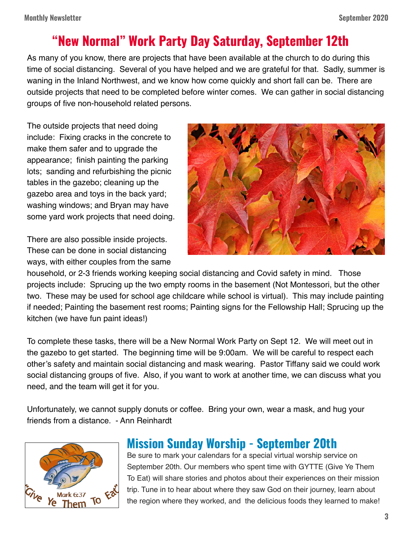# **"New Normal" Work Party Day Saturday, September 12th**

As many of you know, there are projects that have been available at the church to do during this time of social distancing. Several of you have helped and we are grateful for that. Sadly, summer is waning in the Inland Northwest, and we know how come quickly and short fall can be. There are outside projects that need to be completed before winter comes. We can gather in social distancing groups of five non-household related persons.

The outside projects that need doing include: Fixing cracks in the concrete to make them safer and to upgrade the appearance; finish painting the parking lots; sanding and refurbishing the picnic tables in the gazebo; cleaning up the gazebo area and toys in the back yard; washing windows; and Bryan may have some yard work projects that need doing.

There are also possible inside projects. These can be done in social distancing ways, with either couples from the same



household, or 2-3 friends working keeping social distancing and Covid safety in mind. Those projects include: Sprucing up the two empty rooms in the basement (Not Montessori, but the other two. These may be used for school age childcare while school is virtual). This may include painting if needed; Painting the basement rest rooms; Painting signs for the Fellowship Hall; Sprucing up the kitchen (we have fun paint ideas!)

To complete these tasks, there will be a New Normal Work Party on Sept 12. We will meet out in the gazebo to get started. The beginning time will be 9:00am. We will be careful to respect each other's safety and maintain social distancing and mask wearing. Pastor Tiffany said we could work social distancing groups of five. Also, if you want to work at another time, we can discuss what you need, and the team will get it for you.

Unfortunately, we cannot supply donuts or coffee. Bring your own, wear a mask, and hug your friends from a distance. - Ann Reinhardt



### **Mission Sunday Worship - September 20th**

Be sure to mark your calendars for a special virtual worship service on September 20th. Our members who spent time with GYTTE (Give Ye Them To Eat) will share stories and photos about their experiences on their mission trip. Tune in to hear about where they saw God on their journey, learn about the region where they worked, and the delicious foods they learned to make!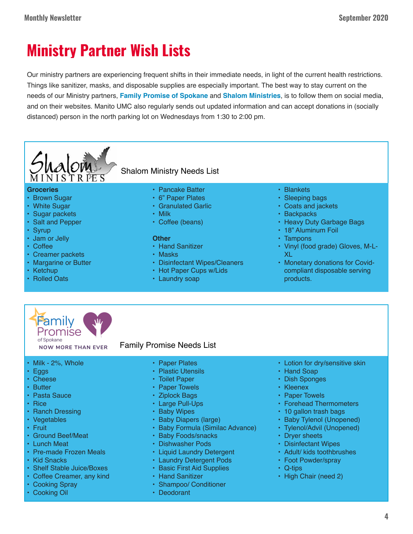# **Ministry Partner Wish Lists**

Our ministry partners are experiencing frequent shifts in their immediate needs, in light of the current health restrictions. Things like sanitizer, masks, and disposable supplies are especially important. The best way to stay current on the needs of our Ministry partners, **Family Promise of Spokane** and **Shalom Ministries**, is to follow them on social media, and on their websites. Manito UMC also regularly sends out updated information and can accept donations in (socially distanced) person in the north parking lot on Wednesdays from 1:30 to 2:00 pm.



#### **Groceries**

- Brown Sugar
- White Sugar
- Sugar packets
- Salt and Pepper
- Syrup
- Jam or Jelly
- Coffee
- Creamer packets
- Margarine or Butter
- Ketchup
- Rolled Oats

#### Shalom Ministry Needs List

- Pancake Batter
- 6" Paper Plates
- Granulated Garlic
- Milk
- Coffee (beans)

#### **Other**

- Hand Sanitizer
- Masks
- Disinfectant Wipes/Cleaners
- Hot Paper Cups w/Lids
- Laundry soap

#### • Blankets

- Sleeping bags
- Coats and jackets
- Backpacks
- Heavy Duty Garbage Bags
- 18" Aluminum Foil
- Tampons
- Vinyl (food grade) Gloves, M-L-XL
- Monetary donations for Covidcompliant disposable serving products.

| <b>Pamily</b> |  |
|---------------|--|
| Promise       |  |
| of Spokane    |  |

**NOW MORE THAN EVER** 

- Milk 2%, Whole
- Eggs
- Cheese
- Butter
- Pasta Sauce
- Rice
- Ranch Dressing
- Vegetables
- Fruit
- Ground Beef/Meat
- Lunch Meat
- Pre-made Frozen Meals
- Kid Snacks
- Shelf Stable Juice/Boxes
- Coffee Creamer, any kind
- Cooking Spray
- Cooking Oil
- Paper Plates
	- Plastic Utensils
	- Toilet Paper
	- Paper Towels
	- Ziplock Bags
	- Large Pull-Ups
	- Baby Wipes
	- Baby Diapers (large)
	- Baby Formula (Similac Advance)
	- Baby Foods/snacks
	- Dishwasher Pods
	- Liquid Laundry Detergent
	- Laundry Detergent Pods
	- Basic First Aid Supplies
	- Hand Sanitizer
	- Shampoo/ Conditioner
	- Deodorant
- Lotion for dry/sensitive skin
- Hand Soap
- Dish Sponges
- Kleenex
- Paper Towels
- Forehead Thermometers
- 10 gallon trash bags
- Baby Tylenol (Unopened)
- Tylenol/Advil (Unopened)
- Dryer sheets
- Disinfectant Wipes
- Adult/ kids toothbrushes
- Foot Powder/spray
- Q-tips
- High Chair (need 2)

Family Promise Needs List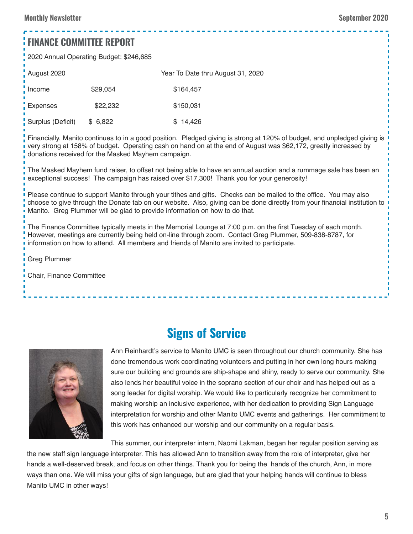### **FINANCE COMMITTEE REPORT**

2020 Annual Operating Budget: \$246,685

August 2020 Year To Date thru August 31, 2020

Income \$29,054 \$164,457 Expenses \$22,232 \$150,031

Surplus (Deficit) \$ 6,822 \$ 14,426

Financially, Manito continues to in a good position. Pledged giving is strong at 120% of budget, and unpledged giving is very strong at 158% of budget. Operating cash on hand on at the end of August was \$62,172, greatly increased by donations received for the Masked Mayhem campaign.

The Masked Mayhem fund raiser, to offset not being able to have an annual auction and a rummage sale has been an exceptional success! The campaign has raised over \$17,300! Thank you for your generosity!

Please continue to support Manito through your tithes and gifts. Checks can be mailed to the office. You may also choose to give through the Donate tab on our website. Also, giving can be done directly from your financial institution to Manito. Greg Plummer will be glad to provide information on how to do that.

The Finance Committee typically meets in the Memorial Lounge at 7:00 p.m. on the first Tuesday of each month. However, meetings are currently being held on-line through zoom. Contact Greg Plummer, 509-838-8787, for information on how to attend. All members and friends of Manito are invited to participate.

Greg Plummer

Chair, Finance Committee



### **Signs of Service**

Ann Reinhardt's service to Manito UMC is seen throughout our church community. She has done tremendous work coordinating volunteers and putting in her own long hours making sure our building and grounds are ship-shape and shiny, ready to serve our community. She also lends her beautiful voice in the soprano section of our choir and has helped out as a song leader for digital worship. We would like to particularly recognize her commitment to making worship an inclusive experience, with her dedication to providing Sign Language interpretation for worship and other Manito UMC events and gatherings. Her commitment to this work has enhanced our worship and our community on a regular basis.

This summer, our interpreter intern, Naomi Lakman, began her regular position serving as

the new staff sign language interpreter. This has allowed Ann to transition away from the role of interpreter, give her hands a well-deserved break, and focus on other things. Thank you for being the hands of the church, Ann, in more ways than one. We will miss your gifts of sign language, but are glad that your helping hands will continue to bless Manito UMC in other ways!